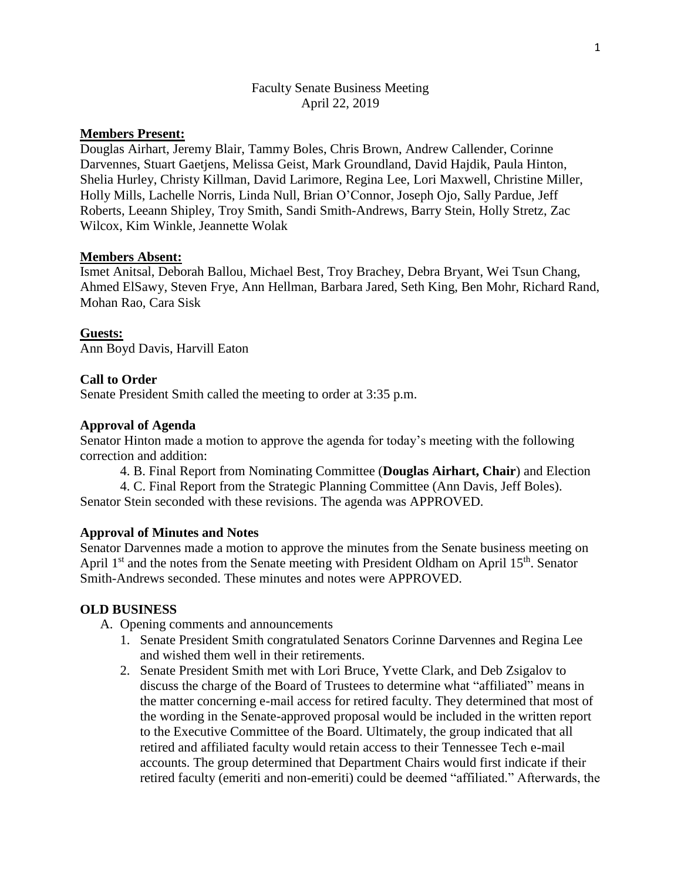## Faculty Senate Business Meeting April 22, 2019

# **Members Present:**

Douglas Airhart, Jeremy Blair, Tammy Boles, Chris Brown, Andrew Callender, Corinne Darvennes, Stuart Gaetjens, Melissa Geist, Mark Groundland, David Hajdik, Paula Hinton, Shelia Hurley, Christy Killman, David Larimore, Regina Lee, Lori Maxwell, Christine Miller, Holly Mills, Lachelle Norris, Linda Null, Brian O'Connor, Joseph Ojo, Sally Pardue, Jeff Roberts, Leeann Shipley, Troy Smith, Sandi Smith-Andrews, Barry Stein, Holly Stretz, Zac Wilcox, Kim Winkle, Jeannette Wolak

#### **Members Absent:**

Ismet Anitsal, Deborah Ballou, Michael Best, Troy Brachey, Debra Bryant, Wei Tsun Chang, Ahmed ElSawy, Steven Frye, Ann Hellman, Barbara Jared, Seth King, Ben Mohr, Richard Rand, Mohan Rao, Cara Sisk

#### **Guests:**

Ann Boyd Davis, Harvill Eaton

## **Call to Order**

Senate President Smith called the meeting to order at 3:35 p.m.

#### **Approval of Agenda**

Senator Hinton made a motion to approve the agenda for today's meeting with the following correction and addition:

4. B. Final Report from Nominating Committee (**Douglas Airhart, Chair**) and Election

4. C. Final Report from the Strategic Planning Committee (Ann Davis, Jeff Boles). Senator Stein seconded with these revisions. The agenda was APPROVED.

#### **Approval of Minutes and Notes**

Senator Darvennes made a motion to approve the minutes from the Senate business meeting on April 1<sup>st</sup> and the notes from the Senate meeting with President Oldham on April 15<sup>th</sup>. Senator Smith-Andrews seconded. These minutes and notes were APPROVED.

#### **OLD BUSINESS**

A. Opening comments and announcements

- 1. Senate President Smith congratulated Senators Corinne Darvennes and Regina Lee and wished them well in their retirements.
- 2. Senate President Smith met with Lori Bruce, Yvette Clark, and Deb Zsigalov to discuss the charge of the Board of Trustees to determine what "affiliated" means in the matter concerning e-mail access for retired faculty. They determined that most of the wording in the Senate-approved proposal would be included in the written report to the Executive Committee of the Board. Ultimately, the group indicated that all retired and affiliated faculty would retain access to their Tennessee Tech e-mail accounts. The group determined that Department Chairs would first indicate if their retired faculty (emeriti and non-emeriti) could be deemed "affiliated." Afterwards, the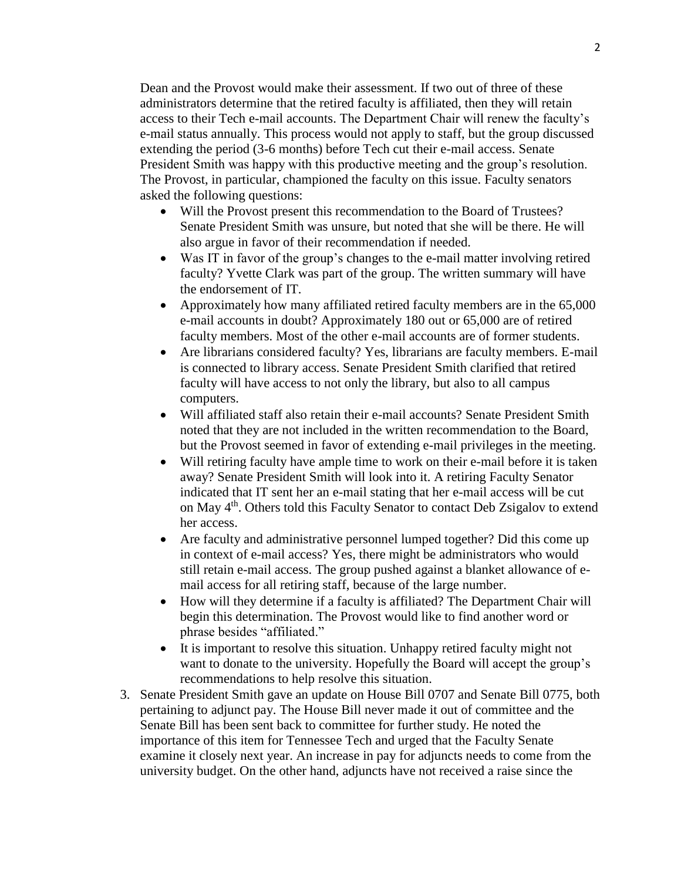Dean and the Provost would make their assessment. If two out of three of these administrators determine that the retired faculty is affiliated, then they will retain access to their Tech e-mail accounts. The Department Chair will renew the faculty's e-mail status annually. This process would not apply to staff, but the group discussed extending the period (3-6 months) before Tech cut their e-mail access. Senate President Smith was happy with this productive meeting and the group's resolution. The Provost, in particular, championed the faculty on this issue. Faculty senators asked the following questions:

- Will the Provost present this recommendation to the Board of Trustees? Senate President Smith was unsure, but noted that she will be there. He will also argue in favor of their recommendation if needed.
- Was IT in favor of the group's changes to the e-mail matter involving retired faculty? Yvette Clark was part of the group. The written summary will have the endorsement of IT.
- Approximately how many affiliated retired faculty members are in the 65,000 e-mail accounts in doubt? Approximately 180 out or 65,000 are of retired faculty members. Most of the other e-mail accounts are of former students.
- Are librarians considered faculty? Yes, librarians are faculty members. E-mail is connected to library access. Senate President Smith clarified that retired faculty will have access to not only the library, but also to all campus computers.
- Will affiliated staff also retain their e-mail accounts? Senate President Smith noted that they are not included in the written recommendation to the Board, but the Provost seemed in favor of extending e-mail privileges in the meeting.
- Will retiring faculty have ample time to work on their e-mail before it is taken away? Senate President Smith will look into it. A retiring Faculty Senator indicated that IT sent her an e-mail stating that her e-mail access will be cut on May 4<sup>th</sup>. Others told this Faculty Senator to contact Deb Zsigalov to extend her access.
- Are faculty and administrative personnel lumped together? Did this come up in context of e-mail access? Yes, there might be administrators who would still retain e-mail access. The group pushed against a blanket allowance of email access for all retiring staff, because of the large number.
- How will they determine if a faculty is affiliated? The Department Chair will begin this determination. The Provost would like to find another word or phrase besides "affiliated."
- It is important to resolve this situation. Unhappy retired faculty might not want to donate to the university. Hopefully the Board will accept the group's recommendations to help resolve this situation.
- 3. Senate President Smith gave an update on House Bill 0707 and Senate Bill 0775, both pertaining to adjunct pay. The House Bill never made it out of committee and the Senate Bill has been sent back to committee for further study. He noted the importance of this item for Tennessee Tech and urged that the Faculty Senate examine it closely next year. An increase in pay for adjuncts needs to come from the university budget. On the other hand, adjuncts have not received a raise since the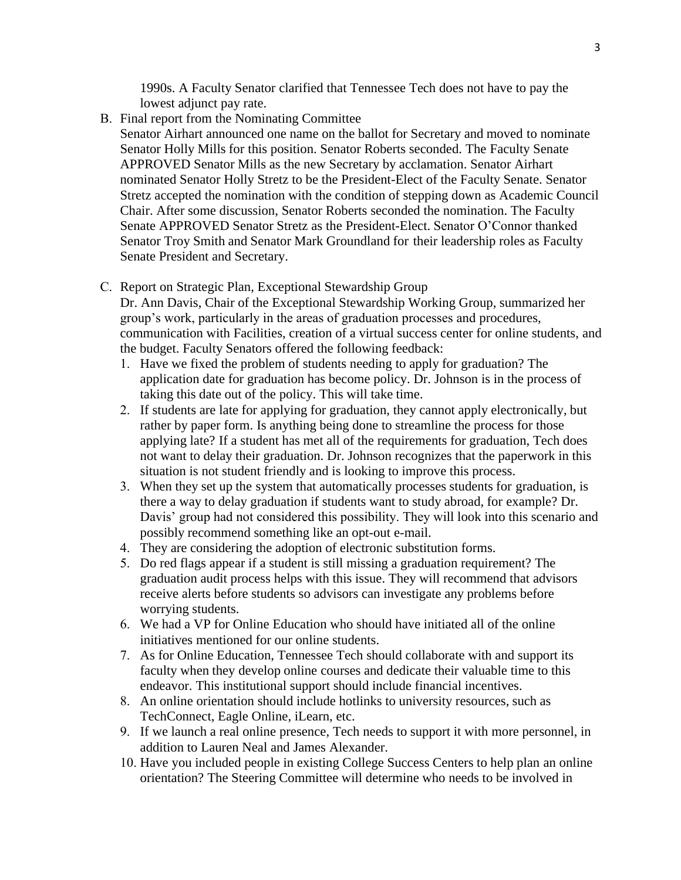1990s. A Faculty Senator clarified that Tennessee Tech does not have to pay the lowest adjunct pay rate.

B. Final report from the Nominating Committee

Senator Airhart announced one name on the ballot for Secretary and moved to nominate Senator Holly Mills for this position. Senator Roberts seconded. The Faculty Senate APPROVED Senator Mills as the new Secretary by acclamation. Senator Airhart nominated Senator Holly Stretz to be the President-Elect of the Faculty Senate. Senator Stretz accepted the nomination with the condition of stepping down as Academic Council Chair. After some discussion, Senator Roberts seconded the nomination. The Faculty Senate APPROVED Senator Stretz as the President-Elect. Senator O'Connor thanked Senator Troy Smith and Senator Mark Groundland for their leadership roles as Faculty Senate President and Secretary.

C. Report on Strategic Plan, Exceptional Stewardship Group

Dr. Ann Davis, Chair of the Exceptional Stewardship Working Group, summarized her group's work, particularly in the areas of graduation processes and procedures, communication with Facilities, creation of a virtual success center for online students, and the budget. Faculty Senators offered the following feedback:

- 1. Have we fixed the problem of students needing to apply for graduation? The application date for graduation has become policy. Dr. Johnson is in the process of taking this date out of the policy. This will take time.
- 2. If students are late for applying for graduation, they cannot apply electronically, but rather by paper form. Is anything being done to streamline the process for those applying late? If a student has met all of the requirements for graduation, Tech does not want to delay their graduation. Dr. Johnson recognizes that the paperwork in this situation is not student friendly and is looking to improve this process.
- 3. When they set up the system that automatically processes students for graduation, is there a way to delay graduation if students want to study abroad, for example? Dr. Davis' group had not considered this possibility. They will look into this scenario and possibly recommend something like an opt-out e-mail.
- 4. They are considering the adoption of electronic substitution forms.
- 5. Do red flags appear if a student is still missing a graduation requirement? The graduation audit process helps with this issue. They will recommend that advisors receive alerts before students so advisors can investigate any problems before worrying students.
- 6. We had a VP for Online Education who should have initiated all of the online initiatives mentioned for our online students.
- 7. As for Online Education, Tennessee Tech should collaborate with and support its faculty when they develop online courses and dedicate their valuable time to this endeavor. This institutional support should include financial incentives.
- 8. An online orientation should include hotlinks to university resources, such as TechConnect, Eagle Online, iLearn, etc.
- 9. If we launch a real online presence, Tech needs to support it with more personnel, in addition to Lauren Neal and James Alexander.
- 10. Have you included people in existing College Success Centers to help plan an online orientation? The Steering Committee will determine who needs to be involved in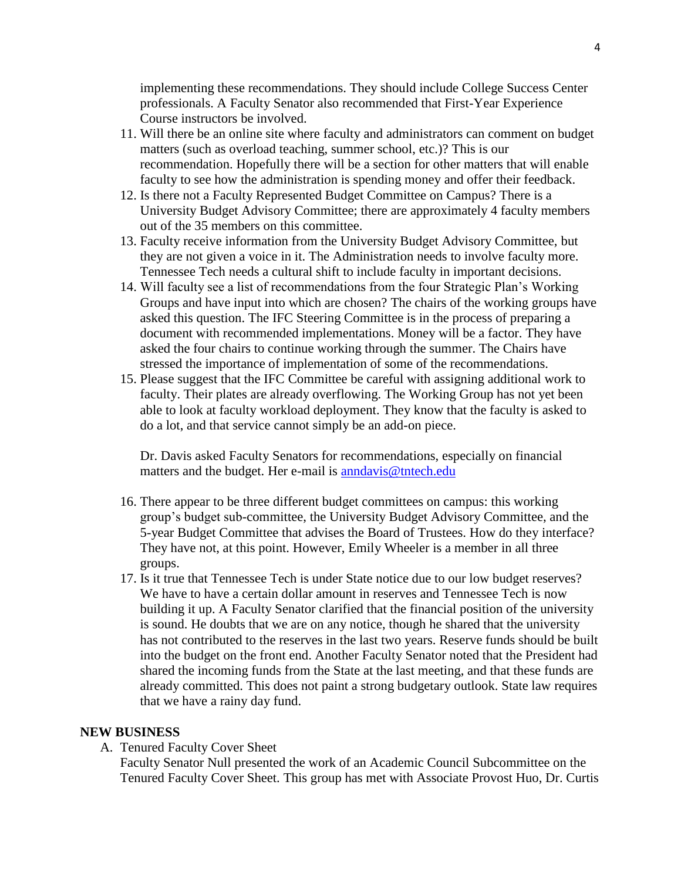implementing these recommendations. They should include College Success Center professionals. A Faculty Senator also recommended that First-Year Experience Course instructors be involved.

- 11. Will there be an online site where faculty and administrators can comment on budget matters (such as overload teaching, summer school, etc.)? This is our recommendation. Hopefully there will be a section for other matters that will enable faculty to see how the administration is spending money and offer their feedback.
- 12. Is there not a Faculty Represented Budget Committee on Campus? There is a University Budget Advisory Committee; there are approximately 4 faculty members out of the 35 members on this committee.
- 13. Faculty receive information from the University Budget Advisory Committee, but they are not given a voice in it. The Administration needs to involve faculty more. Tennessee Tech needs a cultural shift to include faculty in important decisions.
- 14. Will faculty see a list of recommendations from the four Strategic Plan's Working Groups and have input into which are chosen? The chairs of the working groups have asked this question. The IFC Steering Committee is in the process of preparing a document with recommended implementations. Money will be a factor. They have asked the four chairs to continue working through the summer. The Chairs have stressed the importance of implementation of some of the recommendations.
- 15. Please suggest that the IFC Committee be careful with assigning additional work to faculty. Their plates are already overflowing. The Working Group has not yet been able to look at faculty workload deployment. They know that the faculty is asked to do a lot, and that service cannot simply be an add-on piece.

Dr. Davis asked Faculty Senators for recommendations, especially on financial matters and the budget. Her e-mail is [anndavis@tntech.edu](mailto:anndavis@tntech.edu)

- 16. There appear to be three different budget committees on campus: this working group's budget sub-committee, the University Budget Advisory Committee, and the 5-year Budget Committee that advises the Board of Trustees. How do they interface? They have not, at this point. However, Emily Wheeler is a member in all three groups.
- 17. Is it true that Tennessee Tech is under State notice due to our low budget reserves? We have to have a certain dollar amount in reserves and Tennessee Tech is now building it up. A Faculty Senator clarified that the financial position of the university is sound. He doubts that we are on any notice, though he shared that the university has not contributed to the reserves in the last two years. Reserve funds should be built into the budget on the front end. Another Faculty Senator noted that the President had shared the incoming funds from the State at the last meeting, and that these funds are already committed. This does not paint a strong budgetary outlook. State law requires that we have a rainy day fund.

## **NEW BUSINESS**

A. Tenured Faculty Cover Sheet

Faculty Senator Null presented the work of an Academic Council Subcommittee on the Tenured Faculty Cover Sheet. This group has met with Associate Provost Huo, Dr. Curtis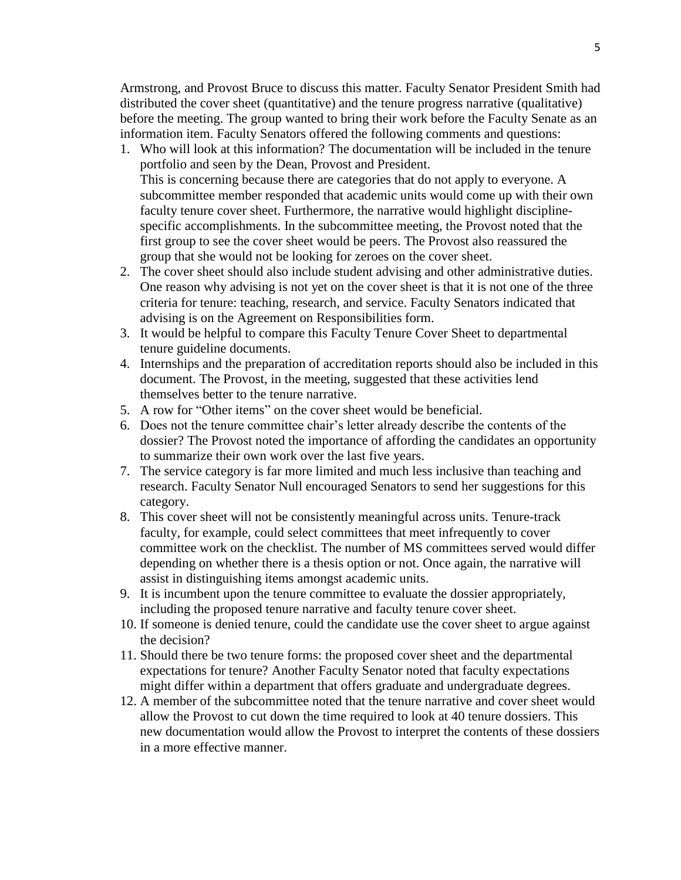Armstrong, and Provost Bruce to discuss this matter. Faculty Senator President Smith had distributed the cover sheet (quantitative) and the tenure progress narrative (qualitative) before the meeting. The group wanted to bring their work before the Faculty Senate as an information item. Faculty Senators offered the following comments and questions:

- 1. Who will look at this information? The documentation will be included in the tenure portfolio and seen by the Dean, Provost and President. This is concerning because there are categories that do not apply to everyone. A subcommittee member responded that academic units would come up with their own faculty tenure cover sheet. Furthermore, the narrative would highlight disciplinespecific accomplishments. In the subcommittee meeting, the Provost noted that the first group to see the cover sheet would be peers. The Provost also reassured the group that she would not be looking for zeroes on the cover sheet.
- 2. The cover sheet should also include student advising and other administrative duties. One reason why advising is not yet on the cover sheet is that it is not one of the three criteria for tenure: teaching, research, and service. Faculty Senators indicated that advising is on the Agreement on Responsibilities form.
- 3. It would be helpful to compare this Faculty Tenure Cover Sheet to departmental tenure guideline documents.
- 4. Internships and the preparation of accreditation reports should also be included in this document. The Provost, in the meeting, suggested that these activities lend themselves better to the tenure narrative.
- 5. A row for "Other items" on the cover sheet would be beneficial.
- 6. Does not the tenure committee chair's letter already describe the contents of the dossier? The Provost noted the importance of affording the candidates an opportunity to summarize their own work over the last five years.
- 7. The service category is far more limited and much less inclusive than teaching and research. Faculty Senator Null encouraged Senators to send her suggestions for this category.
- 8. This cover sheet will not be consistently meaningful across units. Tenure-track faculty, for example, could select committees that meet infrequently to cover committee work on the checklist. The number of MS committees served would differ depending on whether there is a thesis option or not. Once again, the narrative will assist in distinguishing items amongst academic units.
- 9. It is incumbent upon the tenure committee to evaluate the dossier appropriately, including the proposed tenure narrative and faculty tenure cover sheet.
- 10. If someone is denied tenure, could the candidate use the cover sheet to argue against the decision?
- 11. Should there be two tenure forms: the proposed cover sheet and the departmental expectations for tenure? Another Faculty Senator noted that faculty expectations might differ within a department that offers graduate and undergraduate degrees.
- 12. A member of the subcommittee noted that the tenure narrative and cover sheet would allow the Provost to cut down the time required to look at 40 tenure dossiers. This new documentation would allow the Provost to interpret the contents of these dossiers in a more effective manner.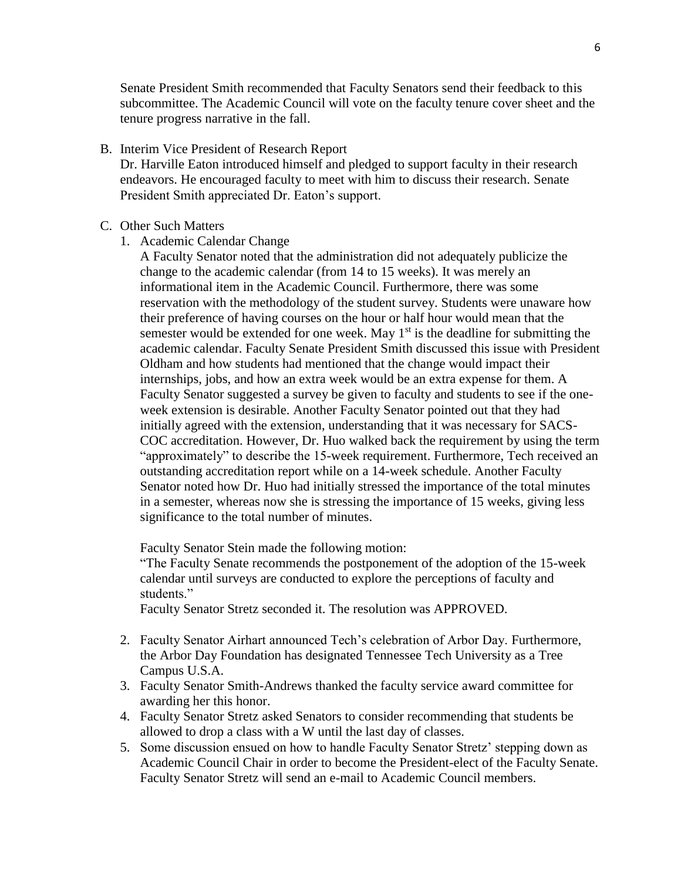Senate President Smith recommended that Faculty Senators send their feedback to this subcommittee. The Academic Council will vote on the faculty tenure cover sheet and the tenure progress narrative in the fall.

B. Interim Vice President of Research Report Dr. Harville Eaton introduced himself and pledged to support faculty in their research endeavors. He encouraged faculty to meet with him to discuss their research. Senate President Smith appreciated Dr. Eaton's support.

#### C. Other Such Matters

- 1. Academic Calendar Change
	- A Faculty Senator noted that the administration did not adequately publicize the change to the academic calendar (from 14 to 15 weeks). It was merely an informational item in the Academic Council. Furthermore, there was some reservation with the methodology of the student survey. Students were unaware how their preference of having courses on the hour or half hour would mean that the semester would be extended for one week. May  $1<sup>st</sup>$  is the deadline for submitting the academic calendar. Faculty Senate President Smith discussed this issue with President Oldham and how students had mentioned that the change would impact their internships, jobs, and how an extra week would be an extra expense for them. A Faculty Senator suggested a survey be given to faculty and students to see if the oneweek extension is desirable. Another Faculty Senator pointed out that they had initially agreed with the extension, understanding that it was necessary for SACS-COC accreditation. However, Dr. Huo walked back the requirement by using the term "approximately" to describe the 15-week requirement. Furthermore, Tech received an outstanding accreditation report while on a 14-week schedule. Another Faculty Senator noted how Dr. Huo had initially stressed the importance of the total minutes in a semester, whereas now she is stressing the importance of 15 weeks, giving less significance to the total number of minutes.

Faculty Senator Stein made the following motion:

"The Faculty Senate recommends the postponement of the adoption of the 15-week calendar until surveys are conducted to explore the perceptions of faculty and students."

Faculty Senator Stretz seconded it. The resolution was APPROVED.

- 2. Faculty Senator Airhart announced Tech's celebration of Arbor Day. Furthermore, the Arbor Day Foundation has designated Tennessee Tech University as a Tree Campus U.S.A.
- 3. Faculty Senator Smith-Andrews thanked the faculty service award committee for awarding her this honor.
- 4. Faculty Senator Stretz asked Senators to consider recommending that students be allowed to drop a class with a W until the last day of classes.
- 5. Some discussion ensued on how to handle Faculty Senator Stretz' stepping down as Academic Council Chair in order to become the President-elect of the Faculty Senate. Faculty Senator Stretz will send an e-mail to Academic Council members.